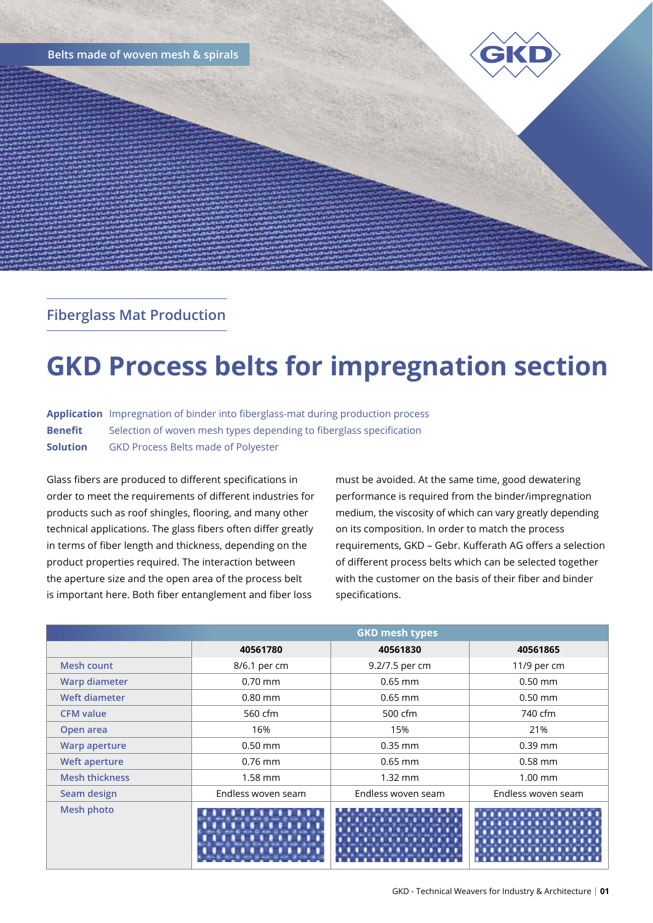**Belts made of woven mesh & spirals**



## **Fiberglass Mat Production**

# **GKD Process belts for impregnation section**

**Application** Impregnation of binder into fiberglass-mat during production process **Benefit** Selection of woven mesh types depending to fiberglass specification **Solution** GKD Process Belts made of Polyester

Glass fibers are produced to different specifications in order to meet the requirements of different industries for products such as roof shingles, flooring, and many other technical applications. The glass fibers often differ greatly in terms of fiber length and thickness, depending on the product properties required. The interaction between the aperture size and the open area of the process belt is important here. Both fiber entanglement and fiber loss

must be avoided. At the same time, good dewatering performance is required from the binder/impregnation medium, the viscosity of which can vary greatly depending on its composition. In order to match the process requirements, GKD – Gebr. Kufferath AG offers a selection of different process belts which can be selected together with the customer on the basis of their fiber and binder specifications.

|                       | <b>GKD mesh types</b> |                    |                    |
|-----------------------|-----------------------|--------------------|--------------------|
|                       | 40561780              | 40561830           | 40561865           |
| Mesh count            | 8/6.1 per cm          | 9.2/7.5 per cm     | 11/9 per cm        |
| <b>Warp diameter</b>  | $0.70$ mm             | $0.65$ mm          | $0.50$ mm          |
| Weft diameter         | $0.80$ mm             | $0.65$ mm          | $0.50$ mm          |
| <b>CFM</b> value      | 560 cfm               | 500 cfm            | 740 cfm            |
| Open area             | 16%                   | 15%                | 21%                |
| <b>Warp aperture</b>  | $0.50$ mm             | $0.35$ mm          | $0.39$ mm          |
| <b>Weft aperture</b>  | $0.76$ mm             | $0.65$ mm          | $0.58$ mm          |
| <b>Mesh thickness</b> | $1.58$ mm             | $1.32$ mm          | $1.00$ mm          |
| Seam design           | Endless woven seam    | Endless woven seam | Endless woven seam |
| <b>Mesh photo</b>     |                       |                    |                    |